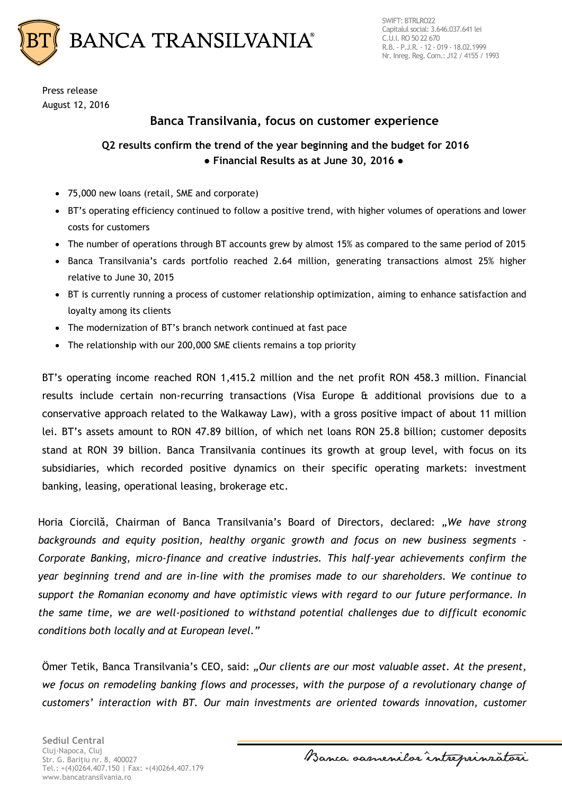

Press release August 12, 2016

# **Banca Transilvania, focus on customer experience**

## **Q2 results confirm the trend of the year beginning and the budget for 2016 ● Financial Results as at June 30, 2016 ●**

- 75,000 new loans (retail, SME and corporate)
- BT's operating efficiency continued to follow a positive trend, with higher volumes of operations and lower costs for customers
- The number of operations through BT accounts grew by almost 15% as compared to the same period of 2015
- Banca Transilvania's cards portfolio reached 2.64 million, generating transactions almost 25% higher relative to June 30, 2015
- BT is currently running a process of customer relationship optimization, aiming to enhance satisfaction and loyalty among its clients
- The modernization of BT's branch network continued at fast pace
- The relationship with our 200,000 SME clients remains a top priority

BT's operating income reached RON 1,415.2 million and the net profit RON 458.3 million. Financial results include certain non-recurring transactions (Visa Europe & additional provisions due to a conservative approach related to the Walkaway Law), with a gross positive impact of about 11 million lei. BT's assets amount to RON 47.89 billion, of which net loans RON 25.8 billion; customer deposits stand at RON 39 billion. Banca Transilvania continues its growth at group level, with focus on its subsidiaries, which recorded positive dynamics on their specific operating markets: investment banking, leasing, operational leasing, brokerage etc.

Horia Ciorcilă, Chairman of Banca Transilvania's Board of Directors, declared: *"We have strong backgrounds and equity position, healthy organic growth and focus on new business segments - Corporate Banking, micro-finance and creative industries. This half-year achievements confirm the year beginning trend and are in-line with the promises made to our shareholders. We continue to support the Romanian economy and have optimistic views with regard to our future performance. In the same time, we are well-positioned to withstand potential challenges due to difficult economic conditions both locally and at European level."*

Ömer Tetik, Banca Transilvania's CEO, said: *"Our clients are our most valuable asset. At the present, we focus on remodeling banking flows and processes, with the purpose of a revolutionary change of customers' interaction with BT. Our main investments are oriented towards innovation, customer* 

**Sediul Central** Cluj-Napoca, Cluj Str. G. Bariţiu nr. 8, 400027 Tel.: +(4)0264.407.150 | Fax: +(4)0264.407.179 www.bancatransilvania.ro

Banca samenilor intreprinzatori